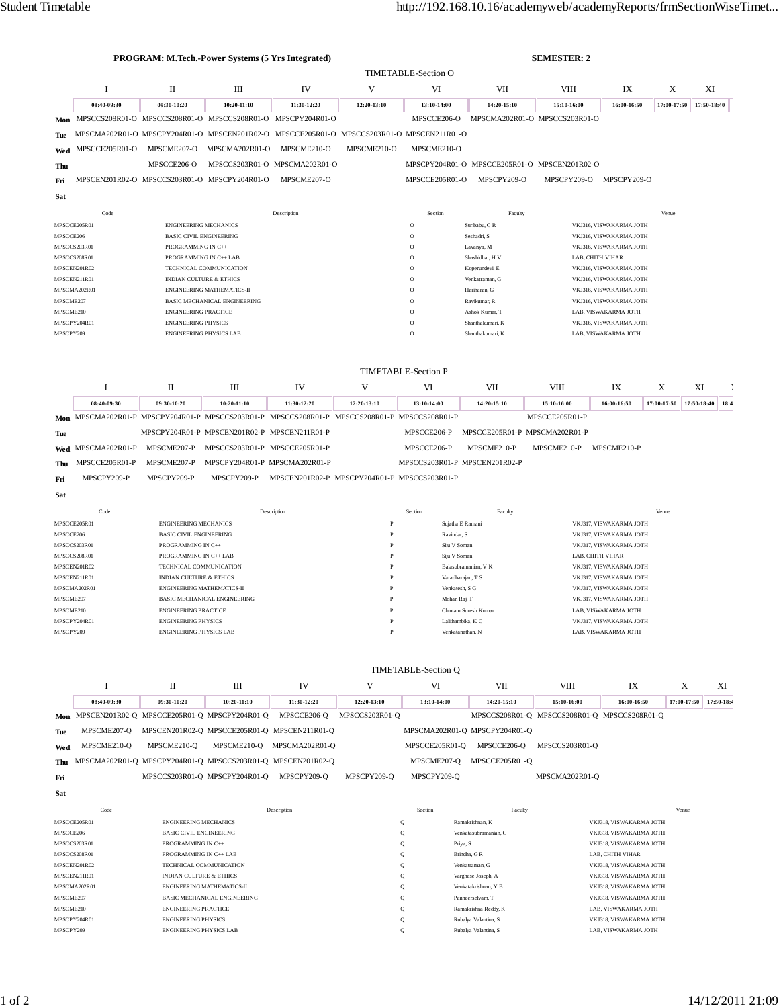| <b>PROGRAM: M.Tech.-Power Systems (5 Yrs Integrated)</b> |                                                                                |                                                              |                                              |                                                                                               | <b>SEMESTER: 2</b>             |                                                                                                       |                                      |                                                    |                                                 |             |             |             |
|----------------------------------------------------------|--------------------------------------------------------------------------------|--------------------------------------------------------------|----------------------------------------------|-----------------------------------------------------------------------------------------------|--------------------------------|-------------------------------------------------------------------------------------------------------|--------------------------------------|----------------------------------------------------|-------------------------------------------------|-------------|-------------|-------------|
|                                                          |                                                                                |                                                              |                                              |                                                                                               |                                | <b>TIMETABLE-Section O</b>                                                                            |                                      |                                                    |                                                 |             |             |             |
|                                                          | I                                                                              | П                                                            | Ш                                            | IV                                                                                            | V                              | VI                                                                                                    | VII                                  | VIII                                               | IX                                              | X           |             | XI          |
|                                                          | 08:40-09:30                                                                    | 09:30-10:20                                                  | 10:20-11:10                                  | 11:30-12:20                                                                                   | 12:20-13:10                    | 13:10-14:00                                                                                           | 14:20-15:10                          | 15:10-16:00                                        | 16:00-16:50                                     | 17:00-17:50 |             | 17:50-18:40 |
| Mon                                                      |                                                                                |                                                              |                                              | MPSCCS208R01-O MPSCCS208R01-O MPSCCS208R01-O MPSCPY204R01-O                                   |                                | MPSCCE206-O                                                                                           |                                      | MPSCMA202R01-O MPSCCS203R01-O                      |                                                 |             |             |             |
| Tue                                                      |                                                                                |                                                              |                                              | MPSCMA202R01-O MPSCPY204R01-O MPSCEN201R02-O MPSCCE205R01-O MPSCCS203R01-O MPSCEN211R01-O     |                                |                                                                                                       |                                      |                                                    |                                                 |             |             |             |
| Wed                                                      | MPSCCE205R01-O                                                                 | MPSCME207-O                                                  | MPSCMA202R01-O                               | MPSCME210-O                                                                                   | MPSCME210-O                    | MPSCME210-O                                                                                           |                                      |                                                    |                                                 |             |             |             |
| Thu                                                      |                                                                                | MPSCCE206-O                                                  |                                              | MPSCCS203R01-O MPSCMA202R01-O                                                                 |                                |                                                                                                       |                                      | MPSCPY204R01-O MPSCCE205R01-O MPSCEN201R02-O       |                                                 |             |             |             |
|                                                          | MPSCEN201R02-O MPSCCS203R01-O MPSCPY204R01-O                                   |                                                              |                                              | MPSCME207-O                                                                                   |                                | MPSCCE205R01-O                                                                                        | MPSCPY209-O                          | MPSCPY209-O                                        | MPSCPY209-O                                     |             |             |             |
| Fri                                                      |                                                                                |                                                              |                                              |                                                                                               |                                |                                                                                                       |                                      |                                                    |                                                 |             |             |             |
| Sat                                                      |                                                                                |                                                              |                                              |                                                                                               |                                |                                                                                                       |                                      |                                                    |                                                 |             |             |             |
|                                                          | Code                                                                           |                                                              |                                              | Description                                                                                   |                                | Section                                                                                               | Faculty                              |                                                    |                                                 | Venue       |             |             |
| MPSCCE205R01                                             |                                                                                | <b>ENGINEERING MECHANICS</b>                                 |                                              |                                                                                               |                                | $\circ$                                                                                               | Suribabu, C R                        |                                                    | VKJ316, VISWAKARMA JOTH                         |             |             |             |
| MPSCCE206                                                |                                                                                | <b>BASIC CIVIL ENGINEERING</b>                               |                                              |                                                                                               |                                | $\circ$<br>Seshadri, S<br>VKJ316, VISWAKARMA JOTH<br>$\circ$<br>Lavanya, M<br>VKJ316, VISWAKARMA JOTH |                                      |                                                    |                                                 |             |             |             |
| MPSCCS203R01<br>MPSCCS208R01                             |                                                                                |                                                              | PROGRAMMING IN C++<br>PROGRAMMING IN C++ LAB |                                                                                               |                                | $\circ$                                                                                               | LAB, CHITH VIHAR<br>Shashidhar, H V  |                                                    |                                                 |             |             |             |
| MPSCEN201R02                                             |                                                                                |                                                              | TECHNICAL COMMUNICATION                      |                                                                                               |                                | $\circ$                                                                                               | Koperundevi, E                       |                                                    | VKJ316, VISWAKARMA JOTH                         |             |             |             |
|                                                          | MPSCEN211R01<br><b>INDIAN CULTURE &amp; ETHICS</b>                             |                                                              |                                              |                                                                                               | $\circ$                        | Venkatraman, G                                                                                        |                                      | VKJ316, VISWAKARMA JOTH                            |                                                 |             |             |             |
|                                                          | MPSCMA202R01<br><b>ENGINEERING MATHEMATICS-II</b>                              |                                                              |                                              |                                                                                               |                                | $\circ$                                                                                               | Hariharan, G                         |                                                    | VKJ316, VISWAKARMA JOTH                         |             |             |             |
|                                                          | MPSCME207<br><b>BASIC MECHANICAL ENGINEERING</b>                               |                                                              |                                              |                                                                                               |                                | $\circ$                                                                                               | Ravikumar, R                         |                                                    | VKJ316, VISWAKARMA JOTH                         |             |             |             |
|                                                          | MPSCME210<br><b>ENGINEERING PRACTICE</b>                                       |                                                              |                                              |                                                                                               |                                | $\circ$                                                                                               | Ashok Kumar, T                       |                                                    | LAB, VISWAKARMA JOTH                            |             |             |             |
| MPSCPY209                                                | MPSCPY204R01                                                                   | <b>ENGINEERING PHYSICS</b><br><b>ENGINEERING PHYSICS LAB</b> |                                              |                                                                                               |                                | $\circ$<br>$\overline{O}$                                                                             | Shanthakumari, K<br>Shanthakumari, K |                                                    | VKJ316, VISWAKARMA JOTH<br>LAB. VISWAKARMA JOTH |             |             |             |
|                                                          | I<br>П<br>Ш                                                                    |                                                              |                                              | IV                                                                                            | V                              | <b>TIMETABLE-Section P</b><br>VI                                                                      | VII                                  | VIII                                               | IX                                              | X           | XI          |             |
|                                                          | 08:40-09:30                                                                    | 09:30-10:20                                                  | 10:20-11:10                                  | 11:30-12:20                                                                                   | 12:20-13:10                    | 13:10-14:00                                                                                           | 14:20-15:10                          | 15:10-16:00                                        | 16:00-16:50                                     | 17:00-17:50 | 17:50-18:40 | 18:4        |
|                                                          |                                                                                |                                                              |                                              | Mon MPSCMA202R01-P MPSCPY204R01-P MPSCCS203R01-P MPSCCS208R01-P MPSCCS208R01-P MPSCCS208R01-P |                                |                                                                                                       |                                      | MPSCCE205R01-P                                     |                                                 |             |             |             |
| Tue                                                      |                                                                                |                                                              | MPSCPY204R01-P MPSCEN201R02-P MPSCEN211R01-P |                                                                                               |                                | MPSCCE206-P                                                                                           |                                      | MPSCCE205R01-P MPSCMA202R01-P                      |                                                 |             |             |             |
| Wed                                                      | MPSCMA202R01-P                                                                 | MPSCME207-P                                                  | MPSCCS203R01-P MPSCCE205R01-P                |                                                                                               |                                | MPSCCE206-P                                                                                           | MPSCME210-P                          | MPSCME210-P                                        | MPSCME210-P                                     |             |             |             |
| Thu                                                      | MPSCCE205R01-P                                                                 | MPSCME207-P                                                  | MPSCPY204R01-P MPSCMA202R01-P                |                                                                                               |                                |                                                                                                       | MPSCCS203R01-P MPSCEN201R02-P        |                                                    |                                                 |             |             |             |
| Fri                                                      | MPSCPY209-P                                                                    | MPSCPY209-P                                                  | MPSCPY209-P                                  | MPSCEN201R02-P MPSCPY204R01-P MPSCCS203R01-P                                                  |                                |                                                                                                       |                                      |                                                    |                                                 |             |             |             |
| Sat                                                      |                                                                                |                                                              |                                              |                                                                                               |                                |                                                                                                       |                                      |                                                    |                                                 |             |             |             |
|                                                          |                                                                                |                                                              |                                              |                                                                                               |                                |                                                                                                       |                                      |                                                    |                                                 |             |             |             |
|                                                          | Code                                                                           |                                                              | Description                                  | $\mathbf{P}$                                                                                  | Section                        | Faculty                                                                                               |                                      |                                                    | Venue                                           |             |             |             |
| MPSCCE206                                                | MPSCCE205R01<br><b>ENGINEERING MECHANICS</b><br><b>BASIC CIVIL ENGINEERING</b> |                                                              |                                              |                                                                                               | $\mathbf{P}$                   | Sujatha E Ramani<br>Ravindar, S                                                                       |                                      | VKJ317, VISWAKARMA JOTH<br>VKJ317, VISWAKARMA JOTH |                                                 |             |             |             |
| MPSCCS203R01                                             |                                                                                | PROGRAMMING IN C++                                           |                                              |                                                                                               | P                              | Siju V Soman                                                                                          |                                      | VKJ317, VISWAKARMA JOTH                            |                                                 |             |             |             |
| MPSCCS208R01                                             |                                                                                |                                                              | PROGRAMMING IN C++ LAB                       |                                                                                               |                                | Siju V Soman                                                                                          |                                      | LAB, CHITH VIHAR                                   |                                                 |             |             |             |
| MPSCEN201R02<br>TECHNICAL COMMUNICATION                  |                                                                                |                                                              |                                              | P<br>P                                                                                        |                                | Balasubramanian, V K                                                                                  |                                      | VKJ317, VISWAKARMA JOTH                            |                                                 |             |             |             |
| MPSCEN211R01                                             |                                                                                |                                                              | <b>INDIAN CULTURE &amp; ETHICS</b>           |                                                                                               |                                | Varadharajan, T S                                                                                     |                                      | VKJ317, VISWAKARMA JOTH                            |                                                 |             |             |             |
| MPSCMA202R01<br>ENGINEERING MATHEMATICS-II<br>MPSCME207  |                                                                                | BASIC MECHANICAL ENGINEERING                                 |                                              | P                                                                                             | Venkatesh, S G<br>Mohan Raj, T |                                                                                                       |                                      | VKJ317, VISWAKARMA JOTH<br>VKJ317, VISWAKARMA JOTH |                                                 |             |             |             |
| MPSCME210                                                |                                                                                | ENGINEERING PRACTICE                                         |                                              |                                                                                               |                                | Chintam Suresh Kuma                                                                                   |                                      | LAB, VISWAKARMA JOTH                               |                                                 |             |             |             |
| MPSCPY204R01                                             |                                                                                | <b>ENGINEERING PHYSICS</b>                                   |                                              |                                                                                               | $\, {\bf p}$                   | Lalithambika, K C                                                                                     |                                      | VKJ317, VISWAKARMA JOTH                            |                                                 |             |             |             |
| MPSCPY209                                                |                                                                                | <b>ENGINEERING PHYSICS LAB</b>                               |                                              |                                                                                               | $\mathbf{p}$                   |                                                                                                       | Venkatanathan, N                     |                                                    | LAB, VISWAKARMA JOTH                            |             |             |             |
|                                                          |                                                                                |                                                              |                                              |                                                                                               |                                | <b>TIMETABLE-Section Q</b>                                                                            |                                      |                                                    |                                                 |             |             |             |
|                                                          | I                                                                              | П                                                            | Ш                                            | IV                                                                                            | V                              | VI                                                                                                    | VII                                  | VIII                                               | IX                                              |             | X           | XI          |
|                                                          | 08:40-09:30                                                                    | 09:30-10:20                                                  | 10:20-11:10                                  | 11:30-12:20                                                                                   | 12:20-13:10                    | 13:10-14:00                                                                                           | 14:20-15:10                          | 15:10-16:00                                        | 16:00-16:50                                     |             | 17:00-17:50 | 17:50-18:4  |
|                                                          | Mon MPSCEN201R02-Q MPSCCE205R01-Q MPSCPY204R01-Q                               |                                                              |                                              | MPSCCE206-Q                                                                                   | MPSCCS203R01-Q                 |                                                                                                       |                                      | MPSCCS208R01-Q MPSCCS208R01-Q MPSCCS208R01-Q       |                                                 |             |             |             |
| Tue                                                      |                                                                                |                                                              |                                              | MPSCME207-Q MPSCEN201R02-Q MPSCCE205R01-Q MPSCEN211R01-Q                                      |                                |                                                                                                       | MPSCMA202R01-Q MPSCPY204R01-Q        |                                                    |                                                 |             |             |             |
|                                                          |                                                                                |                                                              |                                              |                                                                                               |                                |                                                                                                       |                                      |                                                    |                                                 |             |             |             |

 $\mathbf{Fri}$  $\operatorname{\mathbf{Sat}}$ 

Wed MPSCME210-Q MPSCME210-Q MPSCME210-Q MPSCMA202R01-Q

Thu MPSCMA202R01-Q MPSCPY204R01-Q MPSCCS203R01-Q MPSCEN201R02-Q

MPSCCS203R01-Q MPSCPY204R01-Q MPSCPY209-Q MPSCPY209-Q

 $Code$ Description Section Faculty Venue MPSCCE205R01  ${\tt ENGINEERING\,MECHANICS}$  $\mathbf Q$ Ramakrishnan, K VKJ318, VISWAKARMA JOTH MPSCCE206 BASIC CIVIL ENGINEERING Venkatasubramanian, $\mathbf C$ VKJ318, VISWAKARMA JOTH  $\mathsf Q$ MPSCCS203R01 PROGRAMMING IN C++ Priya, S VKJ318, VISWAKARMA JOTH  $Q$ PROGRAMMING IN  $\mathrm{C}\text{++}\text{LAB}$ Brindha, G $\mathbb R$ MPSCCS208R01  $\circ$ LAB, CHITH VIHAR **MPSCEN201R02** TECHNICAL COMMUNICATION  $\mathbf Q$ Venkatraman, G VKJ318, VISWAKARMA JOTH MPSCEN211R01 INDIAN CULTURE & ETHICS  $\mathbf Q$ Varghese Joseph,  ${\bf A}$ VKJ318, VISWAKARMA JOTH MPSCMA202R01 ENGINEERING MATHEMATICS-II  $\mathbf Q$ Venkatakrishnan, Y B VKJ318, VISWAKARMA JOTH BASIC MECHANICAL ENGINEERING Panneerselvam, T VKJ318, VISWAKARMA JOTH MPSCME207  $\mathbf Q$ MPSCME210 **ENGINEERING PRACTICE**  $Q$ Ramakrishna Reddy, K LAB, VISWAKARMA JOTH MPSCPY204R01 **ENGINEERING PHYSICS**  $\mathbf Q$ Rubalya Valantina, S VKJ318, VISWAKARMA JOTH  ${\sf MPSCPY209}$ ENGINEERING PHYSICS LAB  $\mathbf Q$ Rubalya Valantina, ${\bf S}$  $\rm{LAB},\rm{VISWAKARMA}$  JOTH

MPSCCE205R01-Q MPSCCE206-Q MPSCCS203R01-Q

MPSCMA202R01-Q

MPSCME207-Q MPSCCE205R01-Q

MPSCPY209-Q